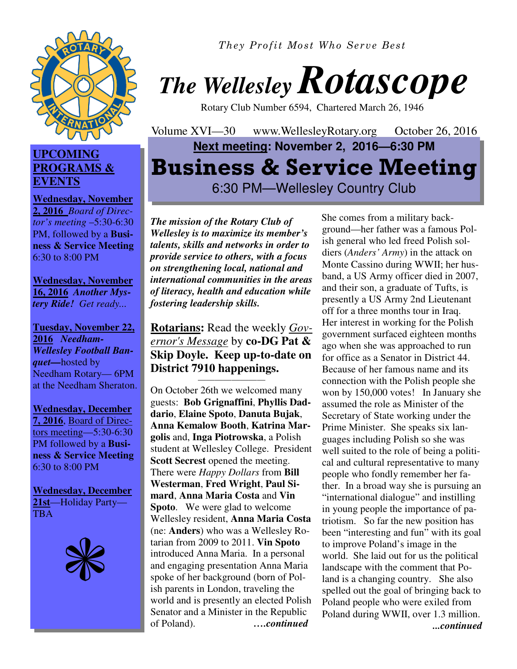

## **UPCOMING PROGRAMS & EVENTS**

**Wednesday, November 2, 2016** *Board of Director's meeting* –5:30-6:30 PM, followed by a **Business & Service Meeting**  6:30 to 8:00 PM

**Wednesday, November 16, 2016** *Another Mystery Ride! Get ready...* 

**Tuesday, November 22, 2016** *Needham-Wellesley Football Banquet—*hosted by Needham Rotary— 6PM at the Needham Sheraton.

**Wednesday, December 7, 2016**, Board of Directors meeting—5:30-6:30 PM followed by a **Business & Service Meeting**  6:30 to 8:00 PM

**Wednesday, December 21st**—Holiday Party— **TBA** 



*They Profit Most Who Serve Best* 



Rotary Club Number 6594, Chartered March 26, 1946

Volume XVI—30 www.WellesleyRotary.org October 26, 2016 **Next meeting: November 2, 2016—6:30 PM Business & Service Meeting** 6:30 PM—Wellesley Country Club

*The mission of the Rotary Club of Wellesley is to maximize its member's talents, skills and networks in order to provide service to others, with a focus on strengthening local, national and international communities in the areas of literacy, health and education while fostering leadership skills.* 

**Rotarians:** Read the weekly *Governor's Message* by **co-DG Pat & Skip Doyle. Keep up-to-date on District 7910 happenings.** 

————————

On October 26th we welcomed many guests: **Bob Grignaffini**, **Phyllis Daddario**, **Elaine Spoto**, **Danuta Bujak**, **Anna Kemalow Booth**, **Katrina Margolis** and, **Inga Piotrowska**, a Polish student at Wellesley College. President **Scott Secrest** opened the meeting. There were *Happy Dollars* from **Bill Westerman**, **Fred Wright**, **Paul Simard**, **Anna Maria Costa** and **Vin Spoto**. We were glad to welcome Wellesley resident, **Anna Maria Costa**  (ne: **Anders**) who was a Wellesley Rotarian from 2009 to 2011. **Vin Spoto**  introduced Anna Maria. In a personal and engaging presentation Anna Maria spoke of her background (born of Polish parents in London, traveling the world and is presently an elected Polish Senator and a Minister in the Republic of Poland). *….continued* 

She comes from a military background—her father was a famous Polish general who led freed Polish soldiers (*Anders' Army*) in the attack on Monte Cassino during WWII; her husband, a US Army officer died in 2007, and their son, a graduate of Tufts, is presently a US Army 2nd Lieutenant off for a three months tour in Iraq. Her interest in working for the Polish government surfaced eighteen months ago when she was approached to run for office as a Senator in District 44. Because of her famous name and its connection with the Polish people she won by 150,000 votes! In January she assumed the role as Minister of the Secretary of State working under the Prime Minister. She speaks six languages including Polish so she was well suited to the role of being a political and cultural representative to many people who fondly remember her father. In a broad way she is pursuing an "international dialogue" and instilling in young people the importance of patriotism. So far the new position has been "interesting and fun" with its goal to improve Poland's image in the world. She laid out for us the political landscape with the comment that Poland is a changing country. She also spelled out the goal of bringing back to Poland people who were exiled from Poland during WWII, over 1.3 million. *...continued*